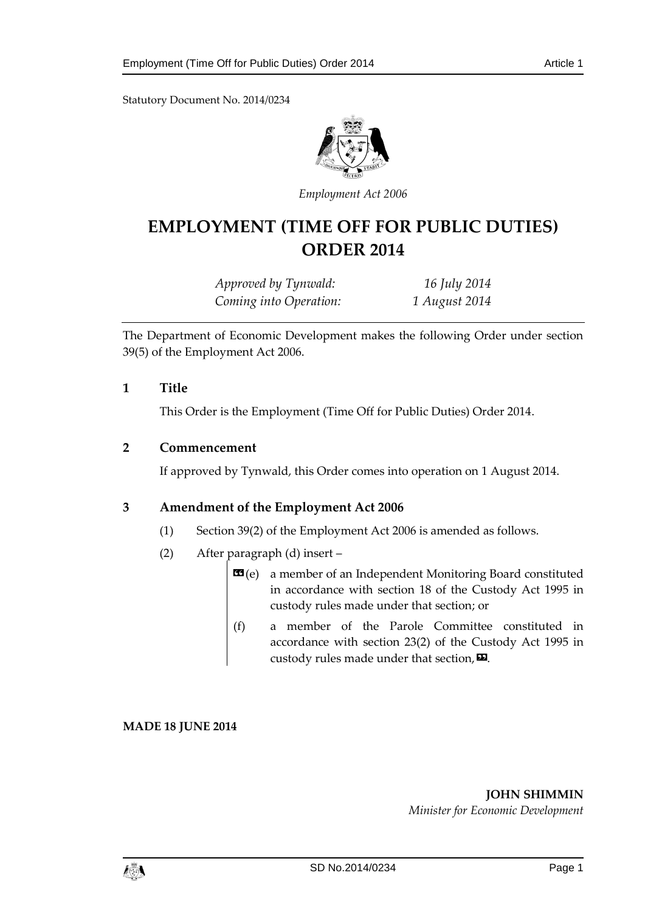Statutory Document No. 2014/0234



*Employment Act 2006*

# **EMPLOYMENT (TIME OFF FOR PUBLIC DUTIES) ORDER 2014**

| Approved by Tynwald:   | 16 July 2014  |
|------------------------|---------------|
| Coming into Operation: | 1 August 2014 |

The Department of Economic Development makes the following Order under section 39(5) of the Employment Act 2006.

## **1 Title**

This Order is the Employment (Time Off for Public Duties) Order 2014.

#### **2 Commencement**

If approved by Tynwald, this Order comes into operation on 1 August 2014.

## **3 Amendment of the Employment Act 2006**

- (1) Section 39(2) of the Employment Act 2006 is amended as follows.
- (2) After paragraph (d) insert
	- **a member of an Independent Monitoring Board constituted** in accordance with section 18 of the Custody Act 1995 in custody rules made under that section; or
	- (f) a member of the Parole Committee constituted in accordance with section 23(2) of the Custody Act 1995 in custody rules made under that section,  $\mathbf{E}$ .

**MADE 18 JUNE 2014**

**JOHN SHIMMIN** *Minister for Economic Development*